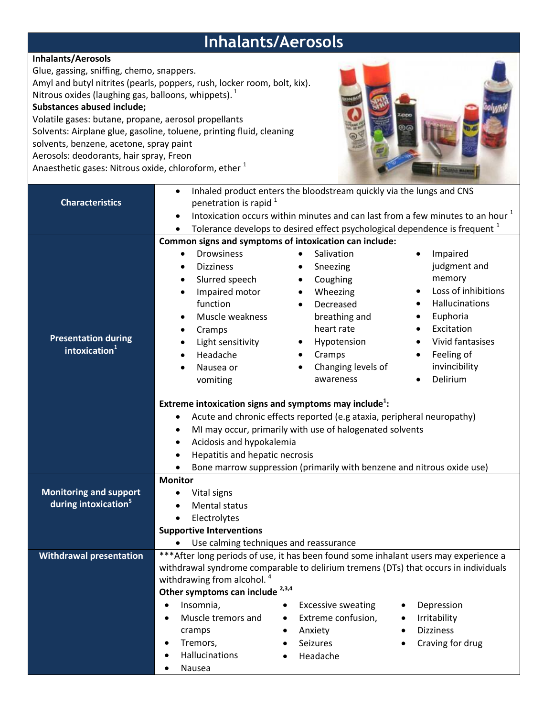## **Inhalants/Aerosols**

## **Inhalants/Aerosols**

Glue, gassing, sniffing, chemo, snappers.

Amyl and butyl nitrites (pearls, poppers, rush, locker room, bolt, kix). Nitrous oxides (laughing gas, balloons, whippets).  $^{1}$ 

## **Substances abused include;**

Volatile gases: butane, propane, aerosol propellants Solvents: Airplane glue, gasoline, toluene, printing fluid, cleaning solvents, benzene, acetone, spray paint Aerosols: deodorants, hair spray, Freon Anaesthetic gases: Nitrous oxide, chloroform, ether <sup>1</sup>



| <b>Characteristics</b>                                  | Inhaled product enters the bloodstream quickly via the lungs and CNS<br>$\bullet$<br>penetration is rapid <sup>1</sup> |                                                                               |                         |  |
|---------------------------------------------------------|------------------------------------------------------------------------------------------------------------------------|-------------------------------------------------------------------------------|-------------------------|--|
|                                                         | Intoxication occurs within minutes and can last from a few minutes to an hour <sup>1</sup><br>$\bullet$                |                                                                               |                         |  |
|                                                         | $\bullet$                                                                                                              | Tolerance develops to desired effect psychological dependence is frequent $1$ |                         |  |
|                                                         |                                                                                                                        |                                                                               |                         |  |
| <b>Presentation during</b><br>intoxication <sup>1</sup> | Common signs and symptoms of intoxication can include:<br><b>Drowsiness</b><br>Salivation<br>Impaired<br>$\bullet$     |                                                                               |                         |  |
|                                                         |                                                                                                                        |                                                                               |                         |  |
|                                                         | <b>Dizziness</b><br>$\bullet$                                                                                          | Sneezing                                                                      | judgment and            |  |
|                                                         | Slurred speech<br>$\bullet$                                                                                            | Coughing                                                                      | memory                  |  |
|                                                         | Impaired motor<br>$\bullet$                                                                                            | Wheezing                                                                      | Loss of inhibitions     |  |
|                                                         | function                                                                                                               | Decreased                                                                     | Hallucinations          |  |
|                                                         | Muscle weakness                                                                                                        | breathing and                                                                 | Euphoria                |  |
|                                                         | Cramps                                                                                                                 | heart rate                                                                    | Excitation              |  |
|                                                         | Light sensitivity<br>$\bullet$                                                                                         | Hypotension                                                                   | Vivid fantasises        |  |
|                                                         | Headache                                                                                                               | Cramps<br>$\bullet$                                                           | Feeling of<br>$\bullet$ |  |
|                                                         | Nausea or                                                                                                              | Changing levels of                                                            | invincibility           |  |
|                                                         | vomiting                                                                                                               | awareness                                                                     | Delirium                |  |
|                                                         | Extreme intoxication signs and symptoms may include <sup>1</sup> :                                                     |                                                                               |                         |  |
|                                                         |                                                                                                                        |                                                                               |                         |  |
|                                                         | Acute and chronic effects reported (e.g ataxia, peripheral neuropathy)<br>٠                                            |                                                                               |                         |  |
|                                                         | MI may occur, primarily with use of halogenated solvents<br>$\bullet$                                                  |                                                                               |                         |  |
|                                                         | Acidosis and hypokalemia<br>$\bullet$                                                                                  |                                                                               |                         |  |
|                                                         | Hepatitis and hepatic necrosis                                                                                         |                                                                               |                         |  |
|                                                         | Bone marrow suppression (primarily with benzene and nitrous oxide use)                                                 |                                                                               |                         |  |
|                                                         | <b>Monitor</b>                                                                                                         |                                                                               |                         |  |
| <b>Monitoring and support</b>                           | Vital signs                                                                                                            |                                                                               |                         |  |
| during intoxication <sup>5</sup>                        | Mental status                                                                                                          |                                                                               |                         |  |
|                                                         | Electrolytes<br>$\bullet$                                                                                              |                                                                               |                         |  |
|                                                         | <b>Supportive Interventions</b>                                                                                        |                                                                               |                         |  |
|                                                         | Use calming techniques and reassurance                                                                                 |                                                                               |                         |  |
| <b>Withdrawal presentation</b>                          | *** After long periods of use, it has been found some inhalant users may experience a                                  |                                                                               |                         |  |
|                                                         | withdrawal syndrome comparable to delirium tremens (DTs) that occurs in individuals                                    |                                                                               |                         |  |
|                                                         | withdrawing from alcohol. <sup>4</sup>                                                                                 |                                                                               |                         |  |
|                                                         | Other symptoms can include <sup>2,3,4</sup>                                                                            |                                                                               |                         |  |
|                                                         | Insomnia,<br>$\bullet$                                                                                                 | <b>Excessive sweating</b>                                                     | Depression              |  |
|                                                         | Muscle tremors and<br>$\bullet$                                                                                        | Extreme confusion,<br>٠                                                       | Irritability            |  |
|                                                         | cramps                                                                                                                 | Anxiety<br>٠                                                                  | <b>Dizziness</b>        |  |
|                                                         | Tremors,<br>$\bullet$                                                                                                  | <b>Seizures</b>                                                               | Craving for drug        |  |
|                                                         | Hallucinations                                                                                                         | Headache                                                                      |                         |  |
|                                                         | Nausea                                                                                                                 |                                                                               |                         |  |